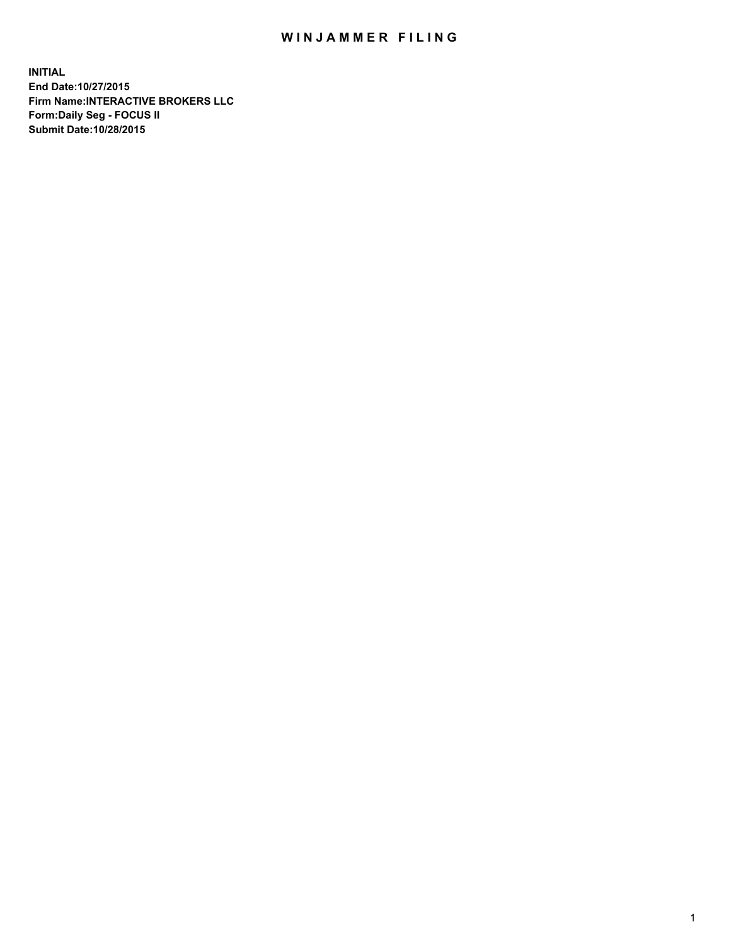## WIN JAMMER FILING

**INITIAL End Date:10/27/2015 Firm Name:INTERACTIVE BROKERS LLC Form:Daily Seg - FOCUS II Submit Date:10/28/2015**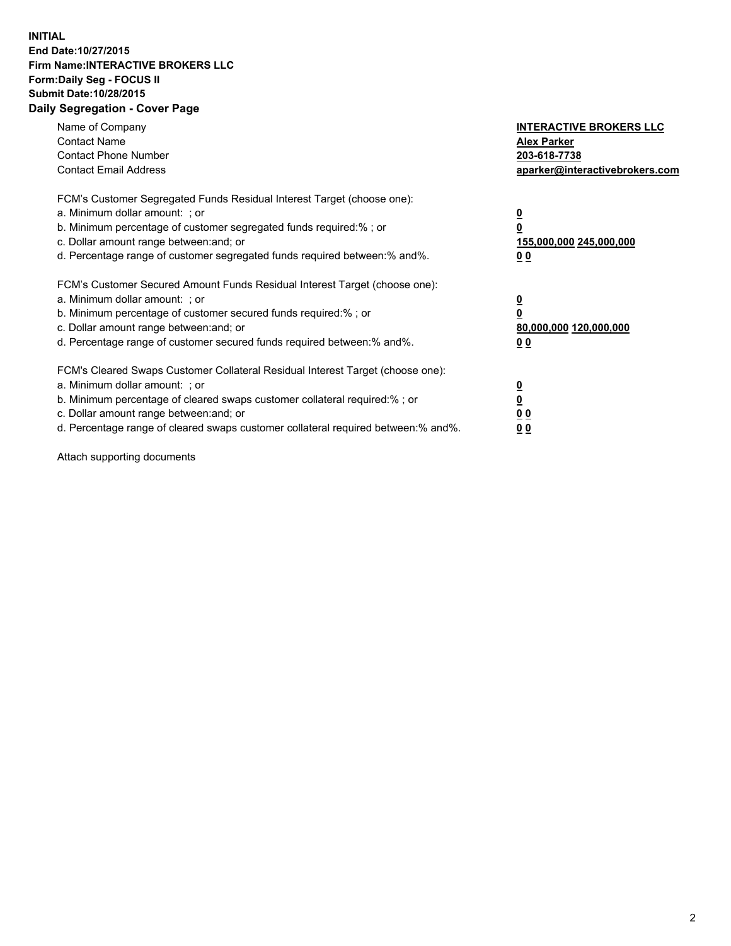## **INITIAL End Date:10/27/2015 Firm Name:INTERACTIVE BROKERS LLC Form:Daily Seg - FOCUS II Submit Date:10/28/2015 Daily Segregation - Cover Page**

| Name of Company<br><b>Contact Name</b><br><b>Contact Phone Number</b><br><b>Contact Email Address</b>                                                                                                                                                                                                                          | <b>INTERACTIVE BROKERS LLC</b><br><b>Alex Parker</b><br>203-618-7738<br>aparker@interactivebrokers.com |
|--------------------------------------------------------------------------------------------------------------------------------------------------------------------------------------------------------------------------------------------------------------------------------------------------------------------------------|--------------------------------------------------------------------------------------------------------|
| FCM's Customer Segregated Funds Residual Interest Target (choose one):<br>a. Minimum dollar amount: ; or<br>b. Minimum percentage of customer segregated funds required:% ; or<br>c. Dollar amount range between: and; or<br>d. Percentage range of customer segregated funds required between:% and%.                         | <u>0</u><br><u>155,000,000 245,000,000</u><br>00                                                       |
| FCM's Customer Secured Amount Funds Residual Interest Target (choose one):<br>a. Minimum dollar amount: ; or<br>b. Minimum percentage of customer secured funds required:%; or<br>c. Dollar amount range between: and; or<br>d. Percentage range of customer secured funds required between: % and %.                          | <u>0</u><br>80,000,000 120,000,000<br>0 <sub>0</sub>                                                   |
| FCM's Cleared Swaps Customer Collateral Residual Interest Target (choose one):<br>a. Minimum dollar amount: ; or<br>b. Minimum percentage of cleared swaps customer collateral required:% ; or<br>c. Dollar amount range between: and; or<br>d. Percentage range of cleared swaps customer collateral required between:% and%. | <u>0</u><br>0 <sub>0</sub><br><u>0 0</u>                                                               |

Attach supporting documents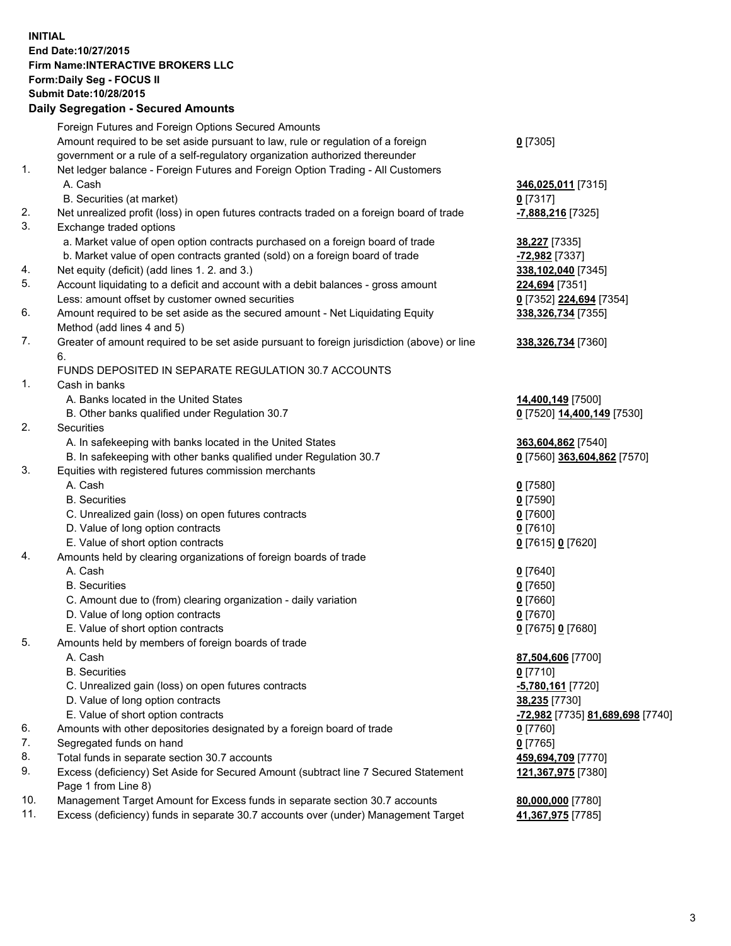## **INITIAL End Date:10/27/2015 Firm Name:INTERACTIVE BROKERS LLC Form:Daily Seg - FOCUS II Submit Date:10/28/2015 Daily Segregation - Secured Amounts**

|                | Daily Segregation - Secured Amounts                                                                        |                                  |
|----------------|------------------------------------------------------------------------------------------------------------|----------------------------------|
|                | Foreign Futures and Foreign Options Secured Amounts                                                        |                                  |
|                | Amount required to be set aside pursuant to law, rule or regulation of a foreign                           | $0$ [7305]                       |
|                | government or a rule of a self-regulatory organization authorized thereunder                               |                                  |
| 1.             | Net ledger balance - Foreign Futures and Foreign Option Trading - All Customers                            |                                  |
|                | A. Cash                                                                                                    | 346,025,011 [7315]               |
|                | B. Securities (at market)                                                                                  | $0$ [7317]                       |
| 2.             | Net unrealized profit (loss) in open futures contracts traded on a foreign board of trade                  | -7,888,216 [7325]                |
| 3.             | Exchange traded options                                                                                    |                                  |
|                | a. Market value of open option contracts purchased on a foreign board of trade                             | <b>38,227</b> [7335]             |
|                | b. Market value of open contracts granted (sold) on a foreign board of trade                               | -72,982 [7337]                   |
| 4.             | Net equity (deficit) (add lines 1.2. and 3.)                                                               | 338,102,040 [7345]               |
| 5.             | Account liquidating to a deficit and account with a debit balances - gross amount                          | 224,694 [7351]                   |
|                | Less: amount offset by customer owned securities                                                           | 0 [7352] 224,694 [7354]          |
| 6.             | Amount required to be set aside as the secured amount - Net Liquidating Equity                             | 338,326,734 [7355]               |
|                | Method (add lines 4 and 5)                                                                                 |                                  |
| 7.             | Greater of amount required to be set aside pursuant to foreign jurisdiction (above) or line                | 338, 326, 734 [7360]             |
|                | 6.                                                                                                         |                                  |
|                | FUNDS DEPOSITED IN SEPARATE REGULATION 30.7 ACCOUNTS                                                       |                                  |
| $\mathbf{1}$ . | Cash in banks                                                                                              |                                  |
|                | A. Banks located in the United States                                                                      | 14,400,149 [7500]                |
|                | B. Other banks qualified under Regulation 30.7                                                             | 0 [7520] 14,400,149 [7530]       |
| 2.             | Securities                                                                                                 |                                  |
|                | A. In safekeeping with banks located in the United States                                                  | 363,604,862 [7540]               |
|                | B. In safekeeping with other banks qualified under Regulation 30.7                                         | 0 [7560] 363,604,862 [7570]      |
| 3.             | Equities with registered futures commission merchants                                                      |                                  |
|                | A. Cash                                                                                                    | $0$ [7580]                       |
|                | <b>B.</b> Securities                                                                                       | $0$ [7590]                       |
|                | C. Unrealized gain (loss) on open futures contracts                                                        | $0$ [7600]                       |
|                | D. Value of long option contracts                                                                          | $0$ [7610]                       |
|                | E. Value of short option contracts                                                                         | 0 [7615] 0 [7620]                |
| 4.             | Amounts held by clearing organizations of foreign boards of trade                                          |                                  |
|                | A. Cash                                                                                                    | $0$ [7640]                       |
|                | <b>B.</b> Securities                                                                                       | $0$ [7650]                       |
|                | C. Amount due to (from) clearing organization - daily variation                                            | $0$ [7660]                       |
|                | D. Value of long option contracts                                                                          | $0$ [7670]                       |
|                | E. Value of short option contracts                                                                         | 0 [7675] 0 [7680]                |
| 5.             | Amounts held by members of foreign boards of trade                                                         |                                  |
|                | A. Cash                                                                                                    | 87,504,606 [7700]                |
|                | <b>B.</b> Securities                                                                                       | $0$ [7710]                       |
|                | C. Unrealized gain (loss) on open futures contracts                                                        | <u>-5,780,161</u> [7720]         |
|                | D. Value of long option contracts                                                                          | 38,235 [7730]                    |
|                | E. Value of short option contracts                                                                         | -72,982 [7735] 81,689,698 [7740] |
| 6.             | Amounts with other depositories designated by a foreign board of trade                                     | 0 [7760]                         |
| 7.             | Segregated funds on hand                                                                                   | $0$ [7765]                       |
| 8.             | Total funds in separate section 30.7 accounts                                                              | 459,694,709 [7770]               |
| 9.             | Excess (deficiency) Set Aside for Secured Amount (subtract line 7 Secured Statement<br>Page 1 from Line 8) | 121,367,975 [7380]               |
| 10.            | Management Target Amount for Excess funds in separate section 30.7 accounts                                | 80,000,000 [7780]                |
| 11.            | Excess (deficiency) funds in separate 30.7 accounts over (under) Management Target                         | 41,367,975 [7785]                |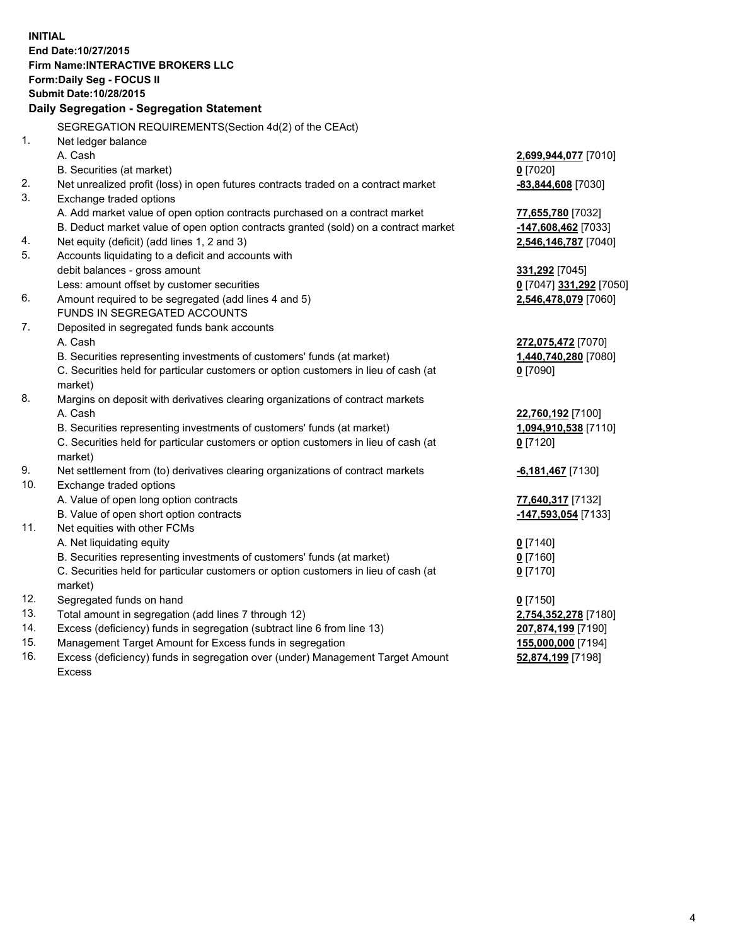**INITIAL End Date:10/27/2015 Firm Name:INTERACTIVE BROKERS LLC Form:Daily Seg - FOCUS II Submit Date:10/28/2015 Daily Segregation - Segregation Statement** SEGREGATION REQUIREMENTS(Section 4d(2) of the CEAct) 1. Net ledger balance A. Cash **2,699,944,077** [7010] B. Securities (at market) **0** [7020] 2. Net unrealized profit (loss) in open futures contracts traded on a contract market **-83,844,608** [7030] 3. Exchange traded options A. Add market value of open option contracts purchased on a contract market **77,655,780** [7032] B. Deduct market value of open option contracts granted (sold) on a contract market **-147,608,462** [7033] 4. Net equity (deficit) (add lines 1, 2 and 3) **2,546,146,787** [7040] 5. Accounts liquidating to a deficit and accounts with debit balances - gross amount **331,292** [7045] Less: amount offset by customer securities **0** [7047] **331,292** [7050] 6. Amount required to be segregated (add lines 4 and 5) **2,546,478,079** [7060] FUNDS IN SEGREGATED ACCOUNTS 7. Deposited in segregated funds bank accounts A. Cash **272,075,472** [7070] B. Securities representing investments of customers' funds (at market) **1,440,740,280** [7080] C. Securities held for particular customers or option customers in lieu of cash (at market) **0** [7090] 8. Margins on deposit with derivatives clearing organizations of contract markets A. Cash **22,760,192** [7100] B. Securities representing investments of customers' funds (at market) **1,094,910,538** [7110] C. Securities held for particular customers or option customers in lieu of cash (at market) **0** [7120] 9. Net settlement from (to) derivatives clearing organizations of contract markets **-6,181,467** [7130] 10. Exchange traded options A. Value of open long option contracts **77,640,317** [7132] B. Value of open short option contracts **-147,593,054** [7133] 11. Net equities with other FCMs A. Net liquidating equity **0** [7140] B. Securities representing investments of customers' funds (at market) **0** [7160] C. Securities held for particular customers or option customers in lieu of cash (at market) **0** [7170] 12. Segregated funds on hand **0** [7150] 13. Total amount in segregation (add lines 7 through 12) **2,754,352,278** [7180] 14. Excess (deficiency) funds in segregation (subtract line 6 from line 13) **207,874,199** [7190] 15. Management Target Amount for Excess funds in segregation **155,000,000** [7194] **52,874,199** [7198]

16. Excess (deficiency) funds in segregation over (under) Management Target Amount Excess